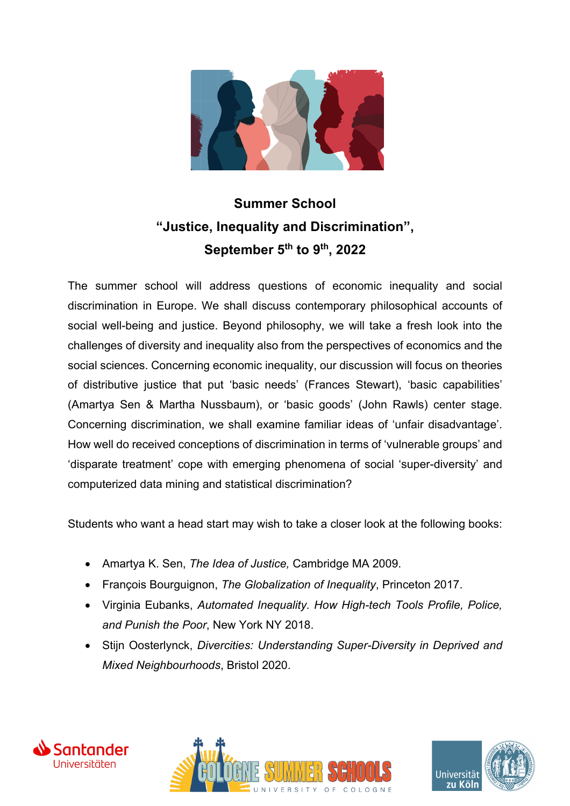

## **Summer School "Justice, Inequality and Discrimination", September 5th to 9th, 2022**

The summer school will address questions of economic inequality and social discrimination in Europe. We shall discuss contemporary philosophical accounts of social well-being and justice. Beyond philosophy, we will take a fresh look into the challenges of diversity and inequality also from the perspectives of economics and the social sciences. Concerning economic inequality, our discussion will focus on theories of distributive justice that put 'basic needs' (Frances Stewart), 'basic capabilities' (Amartya Sen & Martha Nussbaum), or 'basic goods' (John Rawls) center stage. Concerning discrimination, we shall examine familiar ideas of 'unfair disadvantage'. How well do received conceptions of discrimination in terms of 'vulnerable groups' and 'disparate treatment' cope with emerging phenomena of social 'super-diversity' and computerized data mining and statistical discrimination?

Students who want a head start may wish to take a closer look at the following books:

- Amartya K. Sen, *The Idea of Justice,* Cambridge MA 2009.
- François Bourguignon, *The Globalization of Inequality*, Princeton 2017.
- Virginia Eubanks, *Automated Inequality. How High-tech Tools Profile, Police, and Punish the Poor*, New York NY 2018.
- Stijn Oosterlynck, *Divercities: Understanding Super-Diversity in Deprived and Mixed Neighbourhoods*, Bristol 2020.





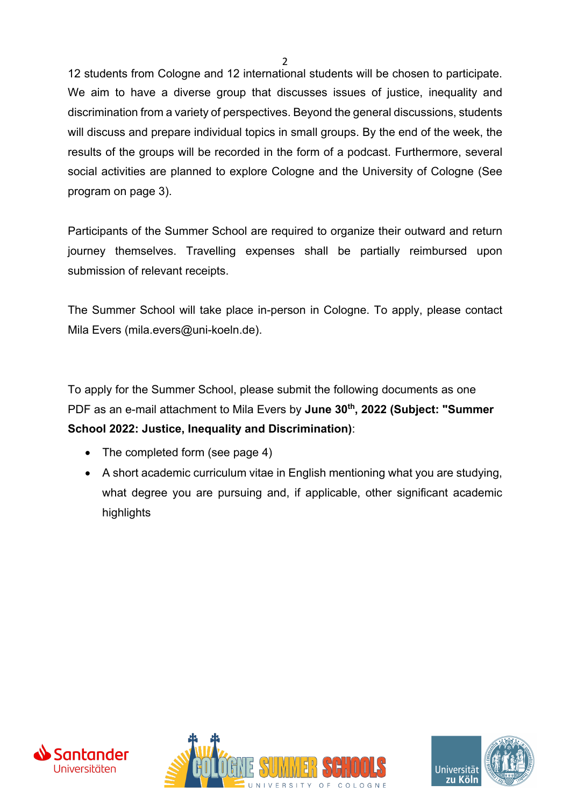12 students from Cologne and 12 international students will be chosen to participate. We aim to have a diverse group that discusses issues of justice, inequality and discrimination from a variety of perspectives. Beyond the general discussions, students will discuss and prepare individual topics in small groups. By the end of the week, the results of the groups will be recorded in the form of a podcast. Furthermore, several social activities are planned to explore Cologne and the University of Cologne (See program on page 3).

Participants of the Summer School are required to organize their outward and return journey themselves. Travelling expenses shall be partially reimbursed upon submission of relevant receipts.

The Summer School will take place in-person in Cologne. To apply, please contact Mila Evers (mila.evers@uni-koeln.de).

To apply for the Summer School, please submit the following documents as one PDF as an e-mail attachment to Mila Evers by **June 30th, 2022 (Subject: "Summer School 2022: Justice, Inequality and Discrimination)**:

- The completed form (see page 4)
- A short academic curriculum vitae in English mentioning what you are studying, what degree you are pursuing and, if applicable, other significant academic highlights





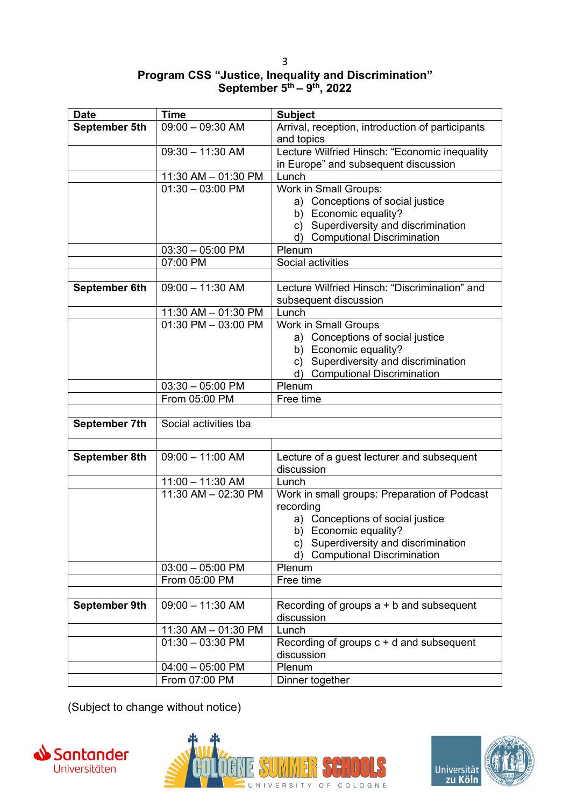3

## **Program CSS "Justice, Inequality and Discrimination" September 5th – 9th, 2022**

| <b>Date</b>   | <b>Time</b>                   | <b>Subject</b>                                                         |
|---------------|-------------------------------|------------------------------------------------------------------------|
| September 5th | $09:00 - 09:30$ AM            | Arrival, reception, introduction of participants                       |
|               |                               | and topics                                                             |
|               | $09:30 - 11:30$ AM            | Lecture Wilfried Hinsch: "Economic inequality                          |
|               |                               | in Europe" and subsequent discussion                                   |
|               | 11:30 AM - 01:30 PM           | Lunch                                                                  |
|               | $\overline{01:30} - 03:00$ PM | Work in Small Groups:                                                  |
|               |                               | a) Conceptions of social justice                                       |
|               |                               | b) Economic equality?                                                  |
|               |                               | c) Superdiversity and discrimination                                   |
|               |                               | d) Computional Discrimination                                          |
|               | $03:30 - 05:00$ PM            | Plenum                                                                 |
|               | 07:00 PM                      | Social activities                                                      |
|               |                               |                                                                        |
| September 6th | $\overline{09:00 - 11:30}$ AM | Lecture Wilfried Hinsch: "Discrimination" and<br>subsequent discussion |
|               | 11:30 AM - 01:30 PM           | Lunch                                                                  |
|               | 01:30 PM - 03:00 PM           | <b>Work in Small Groups</b>                                            |
|               |                               | a) Conceptions of social justice                                       |
|               |                               | b) Economic equality?                                                  |
|               |                               | c) Superdiversity and discrimination                                   |
|               |                               | d) Computional Discrimination                                          |
|               | $03:30 - 05:00$ PM            | Plenum                                                                 |
|               | From 05:00 PM                 | Free time                                                              |
|               |                               |                                                                        |
| September 7th | Social activities tba         |                                                                        |
|               |                               |                                                                        |
| September 8th | $09:00 - 11:00$ AM            | Lecture of a guest lecturer and subsequent<br>discussion               |
|               | $11:00 - 11:30$ AM            | Lunch                                                                  |
|               | 11:30 AM - 02:30 PM           | Work in small groups: Preparation of Podcast                           |
|               |                               | recording                                                              |
|               |                               | a) Conceptions of social justice                                       |
|               |                               | b) Economic equality?                                                  |
|               |                               | c) Superdiversity and discrimination                                   |
|               |                               | <b>Computional Discrimination</b><br>d)                                |
|               | $03:00 - 05:00$ PM            | Plenum                                                                 |
|               | From 05:00 PM                 | Free time                                                              |
|               |                               |                                                                        |
| September 9th | $09:00 - 11:30$ AM            | Recording of groups $a + b$ and subsequent<br>discussion               |
|               | 11:30 AM - 01:30 PM           | Lunch                                                                  |
|               | $01:30 - 03:30$ PM            | Recording of groups $c + d$ and subsequent                             |
|               |                               | discussion                                                             |
|               | $04:00 - 05:00$ PM            | Plenum                                                                 |
|               | From 07:00 PM                 | Dinner together                                                        |

(Subject to change without notice)